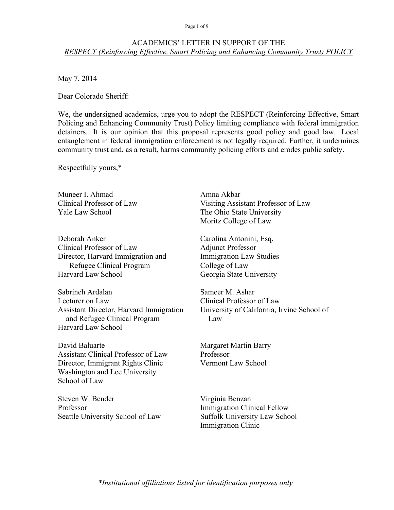### Page 1 of 9

### ACADEMICS' LETTER IN SUPPORT OF THE *RESPECT (Reinforcing Effective, Smart Policing and Enhancing Community Trust) POLICY*

May 7, 2014

Dear Colorado Sheriff:

We, the undersigned academics, urge you to adopt the RESPECT (Reinforcing Effective, Smart Policing and Enhancing Community Trust) Policy limiting compliance with federal immigration detainers. It is our opinion that this proposal represents good policy and good law. Local entanglement in federal immigration enforcement is not legally required. Further, it undermines community trust and, as a result, harms community policing efforts and erodes public safety.

Respectfully yours,\*

Muneer I. Ahmad Clinical Professor of Law Yale Law School

Deborah Anker Clinical Professor of Law Director, Harvard Immigration and Refugee Clinical Program Harvard Law School

Sabrineh Ardalan Lecturer on Law Assistant Director, Harvard Immigration and Refugee Clinical Program Harvard Law School

David Baluarte Assistant Clinical Professor of Law Director, Immigrant Rights Clinic Washington and Lee University School of Law

Steven W. Bender Professor Seattle University School of Law

Amna Akbar Visiting Assistant Professor of Law The Ohio State University Moritz College of Law

Carolina Antonini, Esq. Adjunct Professor Immigration Law Studies College of Law Georgia State University

Sameer M. Ashar Clinical Professor of Law University of California, Irvine School of Law

Margaret Martin Barry Professor Vermont Law School

Virginia Benzan Immigration Clinical Fellow Suffolk University Law School Immigration Clinic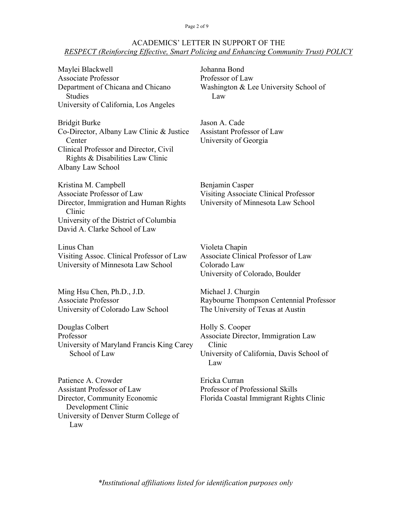### Page 2 of 9

# ACADEMICS' LETTER IN SUPPORT OF THE *RESPECT (Reinforcing Effective, Smart Policing and Enhancing Community Trust) POLICY*

| Maylei Blackwell<br><b>Associate Professor</b><br>Department of Chicana and Chicano<br><b>Studies</b><br>University of California, Los Angeles                                    | Johanna Bond<br>Professor of Law<br>Washington & Lee University School of<br>Law                                     |
|-----------------------------------------------------------------------------------------------------------------------------------------------------------------------------------|----------------------------------------------------------------------------------------------------------------------|
| <b>Bridgit Burke</b><br>Co-Director, Albany Law Clinic & Justice<br>Center<br>Clinical Professor and Director, Civil<br>Rights & Disabilities Law Clinic<br>Albany Law School     | Jason A. Cade<br><b>Assistant Professor of Law</b><br>University of Georgia                                          |
| Kristina M. Campbell<br>Associate Professor of Law<br>Director, Immigration and Human Rights<br>Clinic<br>University of the District of Columbia<br>David A. Clarke School of Law | Benjamin Casper<br><b>Visiting Associate Clinical Professor</b><br>University of Minnesota Law School                |
| Linus Chan<br>Visiting Assoc. Clinical Professor of Law<br>University of Minnesota Law School                                                                                     | Violeta Chapin<br>Associate Clinical Professor of Law<br>Colorado Law<br>University of Colorado, Boulder             |
| Ming Hsu Chen, Ph.D., J.D.<br><b>Associate Professor</b><br>University of Colorado Law School                                                                                     | Michael J. Churgin<br>Raybourne Thompson Centennial Professor<br>The University of Texas at Austin                   |
| Douglas Colbert<br>Professor<br>University of Maryland Francis King Carey<br>School of Law                                                                                        | Holly S. Cooper<br>Associate Director, Immigration Law<br>Clinic<br>University of California, Davis School of<br>Law |
| Patience A. Crowder<br><b>Assistant Professor of Law</b><br>Director, Community Economic<br>Development Clinic<br>University of Denver Sturm College of<br>Law                    | Ericka Curran<br>Professor of Professional Skills<br>Florida Coastal Immigrant Rights Clinic                         |
|                                                                                                                                                                                   |                                                                                                                      |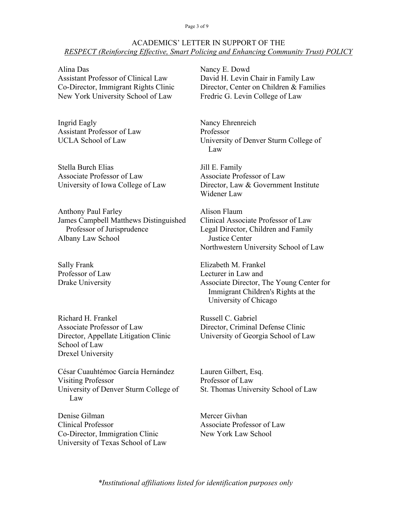### Page 3 of 9

## ACADEMICS' LETTER IN SUPPORT OF THE *RESPECT (Reinforcing Effective, Smart Policing and Enhancing Community Trust) POLICY*

Alina Das Assistant Professor of Clinical Law Co-Director, Immigrant Rights Clinic New York University School of Law

Ingrid Eagly Assistant Professor of Law UCLA School of Law

Stella Burch Elias Associate Professor of Law University of Iowa College of Law

Anthony Paul Farley James Campbell Matthews Distinguished Professor of Jurisprudence Albany Law School

Sally Frank Professor of Law Drake University

Richard H. Frankel Associate Professor of Law Director, Appellate Litigation Clinic School of Law Drexel University

César Cuauhtémoc García Hernández Visiting Professor University of Denver Sturm College of Law

Denise Gilman Clinical Professor Co-Director, Immigration Clinic University of Texas School of Law Nancy E. Dowd David H. Levin Chair in Family Law Director, Center on Children & Families Fredric G. Levin College of Law

Nancy Ehrenreich Professor University of Denver Sturm College of Law

Jill E. Family Associate Professor of Law Director, Law & Government Institute Widener Law

Alison Flaum Clinical Associate Professor of Law Legal Director, Children and Family Justice Center Northwestern University School of Law

Elizabeth M. Frankel Lecturer in Law and Associate Director, The Young Center for Immigrant Children's Rights at the University of Chicago

Russell C. Gabriel Director, Criminal Defense Clinic University of Georgia School of Law

Lauren Gilbert, Esq. Professor of Law St. Thomas University School of Law

Mercer Givhan Associate Professor of Law New York Law School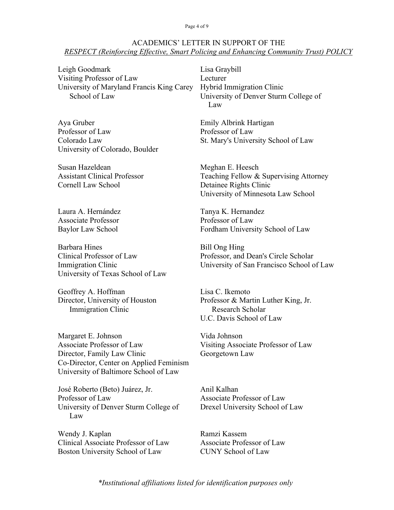Page 4 of 9

## ACADEMICS' LETTER IN SUPPORT OF THE *RESPECT (Reinforcing Effective, Smart Policing and Enhancing Community Trust) POLICY*

Leigh Goodmark Visiting Professor of Law University of Maryland Francis King Carey School of Law

Aya Gruber Professor of Law Colorado Law University of Colorado, Boulder

Susan Hazeldean Assistant Clinical Professor Cornell Law School

Laura A. Hernández Associate Professor Baylor Law School

Barbara Hines Clinical Professor of Law Immigration Clinic University of Texas School of Law

Geoffrey A. Hoffman Director, University of Houston Immigration Clinic

Margaret E. Johnson Associate Professor of Law Director, Family Law Clinic Co-Director, Center on Applied Feminism University of Baltimore School of Law

José Roberto (Beto) Juárez, Jr. Professor of Law University of Denver Sturm College of Law

Wendy J. Kaplan Clinical Associate Professor of Law Boston University School of Law

Lisa Graybill Lecturer Hybrid Immigration Clinic University of Denver Sturm College of Law

Emily Albrink Hartigan Professor of Law St. Mary's University School of Law

Meghan E. Heesch Teaching Fellow & Supervising Attorney Detainee Rights Clinic University of Minnesota Law School

Tanya K. Hernandez Professor of Law Fordham University School of Law

Bill Ong Hing Professor, and Dean's Circle Scholar University of San Francisco School of Law

Lisa C. Ikemoto Professor & Martin Luther King, Jr. Research Scholar U.C. Davis School of Law

Vida Johnson Visiting Associate Professor of Law Georgetown Law

Anil Kalhan Associate Professor of Law Drexel University School of Law

Ramzi Kassem Associate Professor of Law CUNY School of Law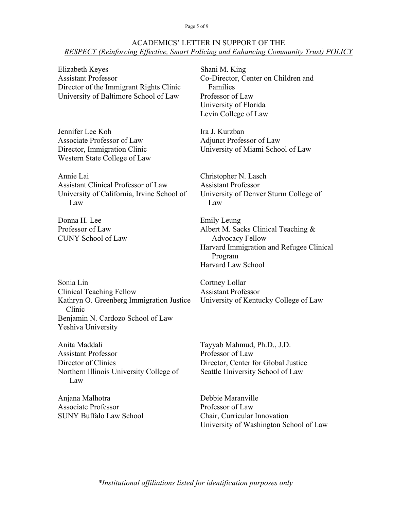## ACADEMICS' LETTER IN SUPPORT OF THE *RESPECT (Reinforcing Effective, Smart Policing and Enhancing Community Trust) POLICY*

Elizabeth Keyes Assistant Professor Director of the Immigrant Rights Clinic University of Baltimore School of Law

Jennifer Lee Koh Associate Professor of Law Director, Immigration Clinic Western State College of Law

Annie Lai Assistant Clinical Professor of Law University of California, Irvine School of Law

Donna H. Lee Professor of Law CUNY School of Law

Shani M. King Co-Director, Center on Children and Families Professor of Law University of Florida Levin College of Law

Ira J. Kurzban Adjunct Professor of Law University of Miami School of Law

Christopher N. Lasch Assistant Professor University of Denver Sturm College of Law

Emily Leung Albert M. Sacks Clinical Teaching & Advocacy Fellow Harvard Immigration and Refugee Clinical Program Harvard Law School

Sonia Lin Clinical Teaching Fellow Kathryn O. Greenberg Immigration Justice Clinic Benjamin N. Cardozo School of Law Yeshiva University

Anita Maddali Assistant Professor Director of Clinics Northern Illinois University College of Law

Anjana Malhotra Associate Professor SUNY Buffalo Law School

Cortney Lollar Assistant Professor University of Kentucky College of Law

Tayyab Mahmud, Ph.D., J.D. Professor of Law Director, Center for Global Justice Seattle University School of Law

Debbie Maranville Professor of Law Chair, Curricular Innovation University of Washington School of Law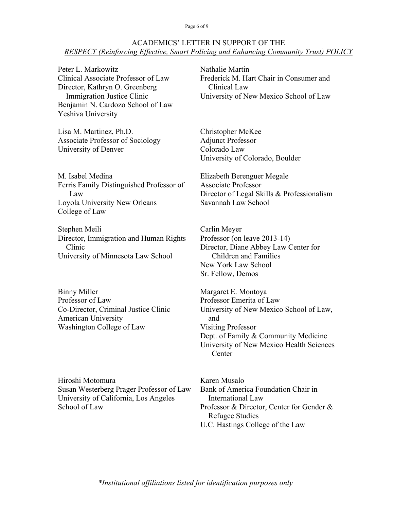### Page 6 of 9

### ACADEMICS' LETTER IN SUPPORT OF THE *RESPECT (Reinforcing Effective, Smart Policing and Enhancing Community Trust) POLICY*

Peter L. Markowitz Clinical Associate Professor of Law Director, Kathryn O. Greenberg Immigration Justice Clinic Benjamin N. Cardozo School of Law Yeshiva University

Lisa M. Martinez, Ph.D. Associate Professor of Sociology University of Denver

M. Isabel Medina Ferris Family Distinguished Professor of Law Loyola University New Orleans College of Law

Stephen Meili Director, Immigration and Human Rights Clinic University of Minnesota Law School

Binny Miller Professor of Law Co-Director, Criminal Justice Clinic American University Washington College of Law

Hiroshi Motomura Susan Westerberg Prager Professor of Law University of California, Los Angeles School of Law

Nathalie Martin Frederick M. Hart Chair in Consumer and Clinical Law University of New Mexico School of Law

Christopher McKee Adjunct Professor Colorado Law University of Colorado, Boulder

Elizabeth Berenguer Megale Associate Professor Director of Legal Skills & Professionalism Savannah Law School

Carlin Meyer Professor (on leave 2013-14) Director, Diane Abbey Law Center for Children and Families New York Law School Sr. Fellow, Demos

Margaret E. Montoya Professor Emerita of Law University of New Mexico School of Law, and Visiting Professor Dept. of Family & Community Medicine University of New Mexico Health Sciences **Center** 

Karen Musalo Bank of America Foundation Chair in International Law Professor & Director, Center for Gender & Refugee Studies U.C. Hastings College of the Law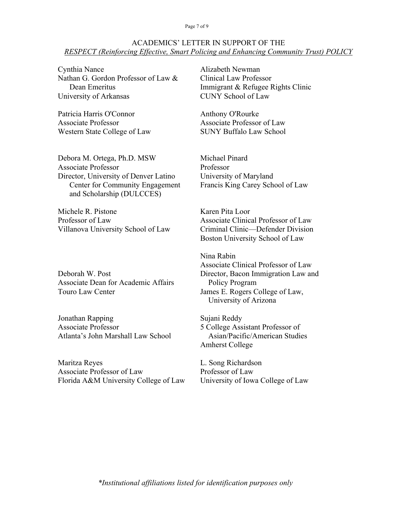#### Page 7 of 9

### ACADEMICS' LETTER IN SUPPORT OF THE *RESPECT (Reinforcing Effective, Smart Policing and Enhancing Community Trust) POLICY*

Cynthia Nance Nathan G. Gordon Professor of Law & Dean Emeritus University of Arkansas

Patricia Harris O'Connor Associate Professor Western State College of Law

Debora M. Ortega, Ph.D. MSW Associate Professor Director, University of Denver Latino Center for Community Engagement and Scholarship (DULCCES)

Michele R. Pistone Professor of Law Villanova University School of Law

Deborah W. Post Associate Dean for Academic Affairs Touro Law Center

Jonathan Rapping Associate Professor Atlanta's John Marshall Law School

Maritza Reyes Associate Professor of Law Florida A&M University College of Law

Alizabeth Newman Clinical Law Professor Immigrant & Refugee Rights Clinic CUNY School of Law

Anthony O'Rourke Associate Professor of Law SUNY Buffalo Law School

Michael Pinard Professor University of Maryland Francis King Carey School of Law

Karen Pita Loor Associate Clinical Professor of Law Criminal Clinic—Defender Division Boston University School of Law

Nina Rabin Associate Clinical Professor of Law Director, Bacon Immigration Law and Policy Program James E. Rogers College of Law, University of Arizona

Sujani Reddy 5 College Assistant Professor of Asian/Pacific/American Studies Amherst College

L. Song Richardson Professor of Law University of Iowa College of Law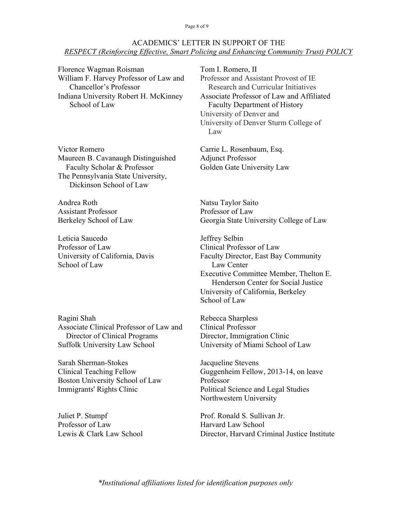### Page 8 of 9

## ACADEMICS' LETTER IN SUPPORT OF THE *RESPECT (Reinforcing Effective, Smart Policing and Enhancing Community Trust) POLICY*

Florence Wagman Roisman William F. Harvey Professor of Law and Chancellor's Professor Indiana University Robert H. McKinney School of Law

Victor Romero Maureen B. Cavanaugh Distinguished Faculty Scholar & Professor The Pennsylvania State University, Dickinson School of Law

Andrea Roth Assistant Professor Berkeley School of Law

Leticia Saucedo Professor of Law University of California, Davis School of Law

Ragini Shah Associate Clinical Professor of Law and Director of Clinical Programs Suffolk University Law School

Sarah Sherman-Stokes Clinical Teaching Fellow Boston University School of Law Immigrants' Rights Clinic

Juliet P. Stumpf Professor of Law Lewis & Clark Law School Tom I. Romero, II Professor and Assistant Provost of IE Research and Curricular Initiatives Associate Professor of Law and Affiliated Faculty Department of History University of Denver and University of Denver Sturm College of Law

Carrie L. Rosenbaum, Esq. Adjunct Professor Golden Gate University Law

Natsu Taylor Saito Professor of Law Georgia State University College of Law

Jeffrey Selbin Clinical Professor of Law Faculty Director, East Bay Community Law Center Executive Committee Member, Thelton E. Henderson Center for Social Justice University of California, Berkeley School of Law

Rebecca Sharpless Clinical Professor Director, Immigration Clinic University of Miami School of Law

Jacqueline Stevens Guggenheim Fellow, 2013-14, on leave Professor Political Science and Legal Studies Northwestern University

Prof. Ronald S. Sullivan Jr. Harvard Law School Director, Harvard Criminal Justice Institute